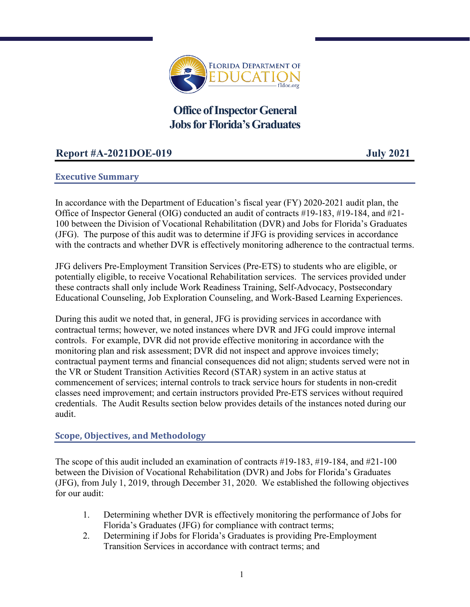

**Office of Inspector General Jobs for Florida's Graduates** 

# **Report #A-2021DOE-019 July 2021**

# **Executive Summary**

In accordance with the Department of Education's fiscal year (FY) 2020-2021 audit plan, the Office of Inspector General (OIG) conducted an audit of contracts #19-183, #19-184, and #21- 100 between the Division of Vocational Rehabilitation (DVR) and Jobs for Florida's Graduates (JFG). The purpose of this audit was to determine if JFG is providing services in accordance with the contracts and whether DVR is effectively monitoring adherence to the contractual terms.

JFG delivers Pre-Employment Transition Services (Pre-ETS) to students who are eligible, or potentially eligible, to receive Vocational Rehabilitation services. The services provided under these contracts shall only include Work Readiness Training, Self-Advocacy, Postsecondary Educational Counseling, Job Exploration Counseling, and Work-Based Learning Experiences.

During this audit we noted that, in general, JFG is providing services in accordance with contractual terms; however, we noted instances where DVR and JFG could improve internal controls. For example, DVR did not provide effective monitoring in accordance with the monitoring plan and risk assessment; DVR did not inspect and approve invoices timely; contractual payment terms and financial consequences did not align; students served were not in the VR or Student Transition Activities Record (STAR) system in an active status at commencement of services; internal controls to track service hours for students in non-credit classes need improvement; and certain instructors provided Pre-ETS services without required credentials. The Audit Results section below provides details of the instances noted during our audit.

# **Scope, Objectives, and Methodology**

The scope of this audit included an examination of contracts #19-183, #19-184, and #21-100 between the Division of Vocational Rehabilitation (DVR) and Jobs for Florida's Graduates (JFG), from July 1, 2019, through December 31, 2020. We established the following objectives for our audit:

- 1. Determining whether DVR is effectively monitoring the performance of Jobs for Florida's Graduates (JFG) for compliance with contract terms;
- 2. Determining if Jobs for Florida's Graduates is providing Pre-Employment Transition Services in accordance with contract terms; and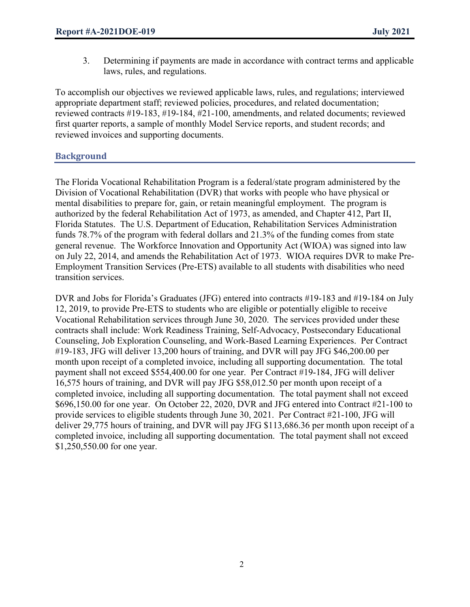3. Determining if payments are made in accordance with contract terms and applicable laws, rules, and regulations.

To accomplish our objectives we reviewed applicable laws, rules, and regulations; interviewed appropriate department staff; reviewed policies, procedures, and related documentation; reviewed contracts #19-183, #19-184, #21-100, amendments, and related documents; reviewed first quarter reports, a sample of monthly Model Service reports, and student records; and reviewed invoices and supporting documents.

# **Background**

The Florida Vocational Rehabilitation Program is a federal/state program administered by the Division of Vocational Rehabilitation (DVR) that works with people who have physical or mental disabilities to prepare for, gain, or retain meaningful employment. The program is authorized by the federal Rehabilitation Act of 1973, as amended, and Chapter 412, Part II, Florida Statutes. The U.S. Department of Education, Rehabilitation Services Administration funds 78.7% of the program with federal dollars and 21.3% of the funding comes from state general revenue. The Workforce Innovation and Opportunity Act (WIOA) was signed into law on July 22, 2014, and amends the Rehabilitation Act of 1973. WIOA requires DVR to make Pre-Employment Transition Services (Pre-ETS) available to all students with disabilities who need transition services.

DVR and Jobs for Florida's Graduates (JFG) entered into contracts #19-183 and #19-184 on July 12, 2019, to provide Pre-ETS to students who are eligible or potentially eligible to receive Vocational Rehabilitation services through June 30, 2020. The services provided under these contracts shall include: Work Readiness Training, Self-Advocacy, Postsecondary Educational Counseling, Job Exploration Counseling, and Work-Based Learning Experiences. Per Contract #19-183, JFG will deliver 13,200 hours of training, and DVR will pay JFG \$46,200.00 per month upon receipt of a completed invoice, including all supporting documentation. The total payment shall not exceed \$554,400.00 for one year. Per Contract #19-184, JFG will deliver 16,575 hours of training, and DVR will pay JFG \$58,012.50 per month upon receipt of a completed invoice, including all supporting documentation. The total payment shall not exceed \$696,150.00 for one year. On October 22, 2020, DVR and JFG entered into Contract #21-100 to provide services to eligible students through June 30, 2021. Per Contract #21-100, JFG will deliver 29,775 hours of training, and DVR will pay JFG \$113,686.36 per month upon receipt of a completed invoice, including all supporting documentation. The total payment shall not exceed \$1,250,550.00 for one year.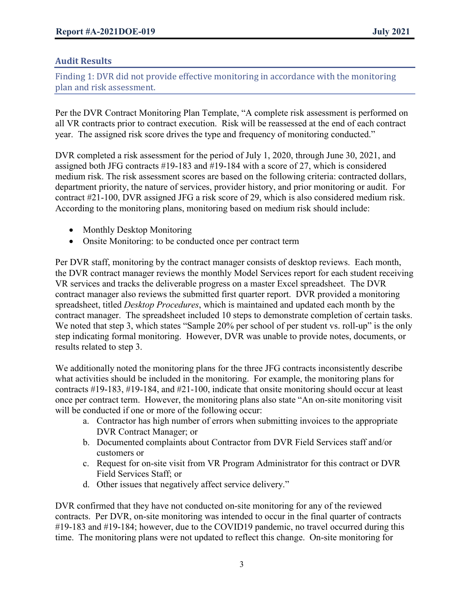# **Audit Results**

Finding 1: DVR did not provide effective monitoring in accordance with the monitoring plan and risk assessment.

Per the DVR Contract Monitoring Plan Template, "A complete risk assessment is performed on all VR contracts prior to contract execution. Risk will be reassessed at the end of each contract year. The assigned risk score drives the type and frequency of monitoring conducted."

DVR completed a risk assessment for the period of July 1, 2020, through June 30, 2021, and assigned both JFG contracts #19-183 and #19-184 with a score of 27, which is considered medium risk. The risk assessment scores are based on the following criteria: contracted dollars, department priority, the nature of services, provider history, and prior monitoring or audit. For contract #21-100, DVR assigned JFG a risk score of 29, which is also considered medium risk. According to the monitoring plans, monitoring based on medium risk should include:

- Monthly Desktop Monitoring
- Onsite Monitoring: to be conducted once per contract term

Per DVR staff, monitoring by the contract manager consists of desktop reviews. Each month, the DVR contract manager reviews the monthly Model Services report for each student receiving VR services and tracks the deliverable progress on a master Excel spreadsheet. The DVR contract manager also reviews the submitted first quarter report. DVR provided a monitoring spreadsheet, titled *Desktop Procedures*, which is maintained and updated each month by the contract manager. The spreadsheet included 10 steps to demonstrate completion of certain tasks. We noted that step 3, which states "Sample 20% per school of per student vs. roll-up" is the only step indicating formal monitoring. However, DVR was unable to provide notes, documents, or results related to step 3.

We additionally noted the monitoring plans for the three JFG contracts inconsistently describe what activities should be included in the monitoring. For example, the monitoring plans for contracts #19-183, #19-184, and #21-100, indicate that onsite monitoring should occur at least once per contract term. However, the monitoring plans also state "An on-site monitoring visit will be conducted if one or more of the following occur:

- a. Contractor has high number of errors when submitting invoices to the appropriate DVR Contract Manager; or
- b. Documented complaints about Contractor from DVR Field Services staff and/or customers or
- c. Request for on-site visit from VR Program Administrator for this contract or DVR Field Services Staff; or
- d. Other issues that negatively affect service delivery."

DVR confirmed that they have not conducted on-site monitoring for any of the reviewed contracts. Per DVR, on-site monitoring was intended to occur in the final quarter of contracts #19-183 and #19-184; however, due to the COVID19 pandemic, no travel occurred during this time. The monitoring plans were not updated to reflect this change. On-site monitoring for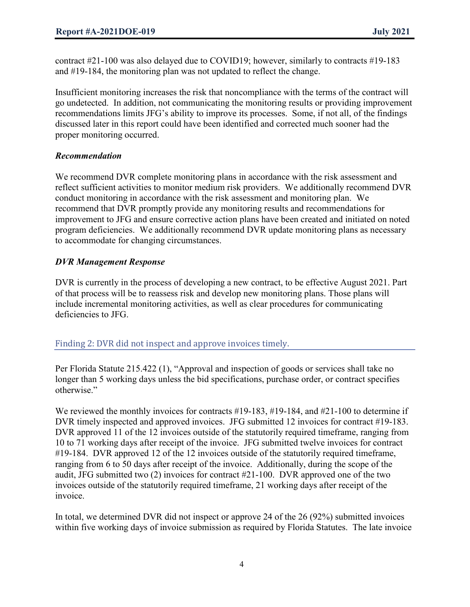contract #21-100 was also delayed due to COVID19; however, similarly to contracts #19-183 and #19-184, the monitoring plan was not updated to reflect the change.

Insufficient monitoring increases the risk that noncompliance with the terms of the contract will go undetected. In addition, not communicating the monitoring results or providing improvement recommendations limits JFG's ability to improve its processes. Some, if not all, of the findings discussed later in this report could have been identified and corrected much sooner had the proper monitoring occurred.

# *Recommendation*

We recommend DVR complete monitoring plans in accordance with the risk assessment and reflect sufficient activities to monitor medium risk providers. We additionally recommend DVR conduct monitoring in accordance with the risk assessment and monitoring plan. We recommend that DVR promptly provide any monitoring results and recommendations for improvement to JFG and ensure corrective action plans have been created and initiated on noted program deficiencies. We additionally recommend DVR update monitoring plans as necessary to accommodate for changing circumstances.

# *DVR Management Response*

DVR is currently in the process of developing a new contract, to be effective August 2021. Part of that process will be to reassess risk and develop new monitoring plans. Those plans will include incremental monitoring activities, as well as clear procedures for communicating deficiencies to JFG.

Finding 2: DVR did not inspect and approve invoices timely.

Per Florida Statute 215.422 (1), "Approval and inspection of goods or services shall take no longer than 5 working days unless the bid specifications, purchase order, or contract specifies otherwise."

We reviewed the monthly invoices for contracts #19-183, #19-184, and #21-100 to determine if DVR timely inspected and approved invoices. JFG submitted 12 invoices for contract #19-183. DVR approved 11 of the 12 invoices outside of the statutorily required timeframe, ranging from 10 to 71 working days after receipt of the invoice. JFG submitted twelve invoices for contract #19-184. DVR approved 12 of the 12 invoices outside of the statutorily required timeframe, ranging from 6 to 50 days after receipt of the invoice. Additionally, during the scope of the audit, JFG submitted two (2) invoices for contract #21-100. DVR approved one of the two invoices outside of the statutorily required timeframe, 21 working days after receipt of the invoice.

In total, we determined DVR did not inspect or approve 24 of the 26 (92%) submitted invoices within five working days of invoice submission as required by Florida Statutes. The late invoice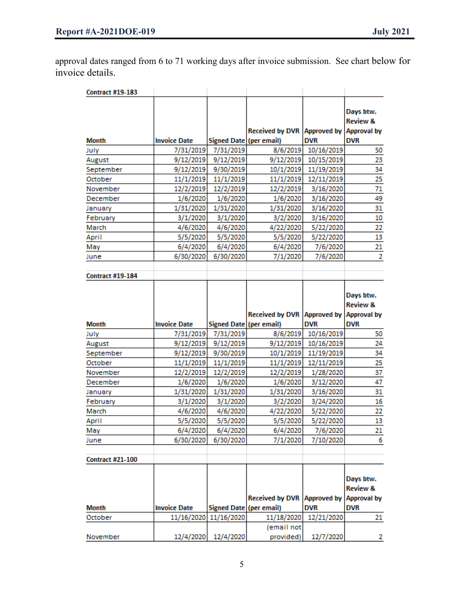approval dates ranged from 6 to 71 working days after invoice submission. See chart below for invoice details.

|                                         |                      |                         | Received by DVR Approved by |                                  | Days btw.<br><b>Review &amp;</b><br><b>Approval by</b>        |
|-----------------------------------------|----------------------|-------------------------|-----------------------------|----------------------------------|---------------------------------------------------------------|
| <b>Month</b>                            | <b>Invoice Date</b>  | Signed Date (per email) |                             | <b>DVR</b>                       | <b>DVR</b>                                                    |
| July                                    | 7/31/2019            | 7/31/2019               | 8/6/2019                    | 10/16/2019                       | 50                                                            |
| August                                  | 9/12/2019            | 9/12/2019               | 9/12/2019                   | 10/15/2019                       | 23                                                            |
| September                               | 9/12/2019            | 9/30/2019               | 10/1/2019                   | 11/19/2019                       | 34                                                            |
| October                                 | 11/1/2019            | 11/1/2019               | 11/1/2019                   | 12/11/2019                       | 25                                                            |
| November                                | 12/2/2019            | 12/2/2019               | 12/2/2019                   | 3/16/2020                        | 71                                                            |
| December                                | 1/6/2020             | 1/6/2020                | 1/6/2020                    | 3/16/2020                        | 49                                                            |
| January                                 | 1/31/2020            | 1/31/2020               | 1/31/2020                   | 3/16/2020                        | 31                                                            |
| February                                | 3/1/2020             | 3/1/2020                | 3/2/2020                    | 3/16/2020                        | 10                                                            |
| March                                   | 4/6/2020             | 4/6/2020                | 4/22/2020                   | 5/22/2020                        | 22                                                            |
| April                                   | 5/5/2020             | 5/5/2020                | 5/5/2020                    | 5/22/2020                        | 13                                                            |
| May                                     | 6/4/2020             | 6/4/2020                | 6/4/2020                    | 7/6/2020                         | 21                                                            |
| June                                    | 6/30/2020            | 6/30/2020               | 7/1/2020                    | 7/6/2020                         | $\overline{2}$                                                |
| <b>Contract #19-184</b>                 |                      |                         |                             |                                  |                                                               |
|                                         |                      |                         |                             |                                  | Days btw.<br><b>Review &amp;</b>                              |
| Month                                   | <b>Invoice Date</b>  | Signed Date (per email) | Received by DVR Approved by | <b>DVR</b>                       | <b>Approval by</b><br><b>DVR</b>                              |
| July                                    | 7/31/2019            | 7/31/2019               | 8/6/2019                    | 10/16/2019                       | 50                                                            |
| August                                  | 9/12/2019            | 9/12/2019               | 9/12/2019                   |                                  |                                                               |
|                                         |                      |                         |                             |                                  |                                                               |
|                                         |                      |                         |                             | 10/16/2019                       | 24                                                            |
| September                               | 9/12/2019            | 9/30/2019               | 10/1/2019                   | 11/19/2019                       | 34                                                            |
| October<br>November                     | 11/1/2019            | 11/1/2019               | 11/1/2019                   | 12/11/2019                       | 25                                                            |
|                                         | 12/2/2019            | 12/2/2019               | 12/2/2019                   | 1/28/2020                        | 37                                                            |
| December                                | 1/6/2020             | 1/6/2020                | 1/6/2020                    | 3/12/2020                        | 47                                                            |
| January                                 | 1/31/2020            | 1/31/2020               | 1/31/2020                   | 3/16/2020                        | 31<br>16                                                      |
| February<br>March                       | 3/1/2020<br>4/6/2020 | 3/1/2020                | 3/2/2020                    | 3/24/2020                        | 22                                                            |
| April                                   | 5/5/2020             | 4/6/2020<br>5/5/2020    | 4/22/2020                   | 5/22/2020<br>5/22/2020           | 13                                                            |
| May                                     | 6/4/2020             | 6/4/2020                | 5/5/2020<br>6/4/2020        | 7/6/2020                         | 21                                                            |
| June                                    | 6/30/2020            | 6/30/2020               | 7/1/2020                    | 7/10/2020                        | 6                                                             |
|                                         |                      |                         |                             |                                  |                                                               |
| <b>Contract #21-100</b><br><b>Month</b> | <b>Invoice Date</b>  | Signed Date (per email) | <b>Received by DVR</b>      | <b>Approved by</b><br><b>DVR</b> | Days btw.<br><b>Review &amp;</b><br><b>Approval by</b><br>DVR |
| October                                 | 11/16/2020           | 11/16/2020              | 11/18/2020                  | 12/21/2020                       | 21                                                            |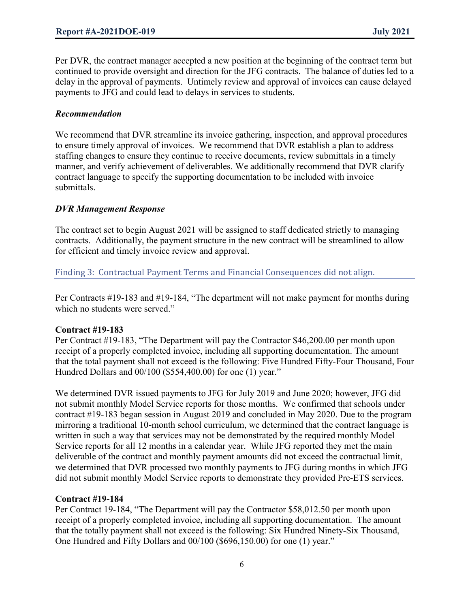Per DVR, the contract manager accepted a new position at the beginning of the contract term but continued to provide oversight and direction for the JFG contracts. The balance of duties led to a delay in the approval of payments. Untimely review and approval of invoices can cause delayed payments to JFG and could lead to delays in services to students.

#### *Recommendation*

We recommend that DVR streamline its invoice gathering, inspection, and approval procedures to ensure timely approval of invoices. We recommend that DVR establish a plan to address staffing changes to ensure they continue to receive documents, review submittals in a timely manner, and verify achievement of deliverables. We additionally recommend that DVR clarify contract language to specify the supporting documentation to be included with invoice submittals.

#### *DVR Management Response*

The contract set to begin August 2021 will be assigned to staff dedicated strictly to managing contracts. Additionally, the payment structure in the new contract will be streamlined to allow for efficient and timely invoice review and approval.

Finding 3: Contractual Payment Terms and Financial Consequences did not align.

Per Contracts #19-183 and #19-184, "The department will not make payment for months during which no students were served."

#### **Contract #19-183**

Per Contract #19-183, "The Department will pay the Contractor \$46,200.00 per month upon receipt of a properly completed invoice, including all supporting documentation. The amount that the total payment shall not exceed is the following: Five Hundred Fifty-Four Thousand, Four Hundred Dollars and 00/100 (\$554,400.00) for one (1) year."

We determined DVR issued payments to JFG for July 2019 and June 2020; however, JFG did not submit monthly Model Service reports for those months. We confirmed that schools under contract #19-183 began session in August 2019 and concluded in May 2020. Due to the program mirroring a traditional 10-month school curriculum, we determined that the contract language is written in such a way that services may not be demonstrated by the required monthly Model Service reports for all 12 months in a calendar year. While JFG reported they met the main deliverable of the contract and monthly payment amounts did not exceed the contractual limit, we determined that DVR processed two monthly payments to JFG during months in which JFG did not submit monthly Model Service reports to demonstrate they provided Pre-ETS services.

#### **Contract #19-184**

Per Contract 19-184, "The Department will pay the Contractor \$58,012.50 per month upon receipt of a properly completed invoice, including all supporting documentation. The amount that the totally payment shall not exceed is the following: Six Hundred Ninety-Six Thousand, One Hundred and Fifty Dollars and 00/100 (\$696,150.00) for one (1) year."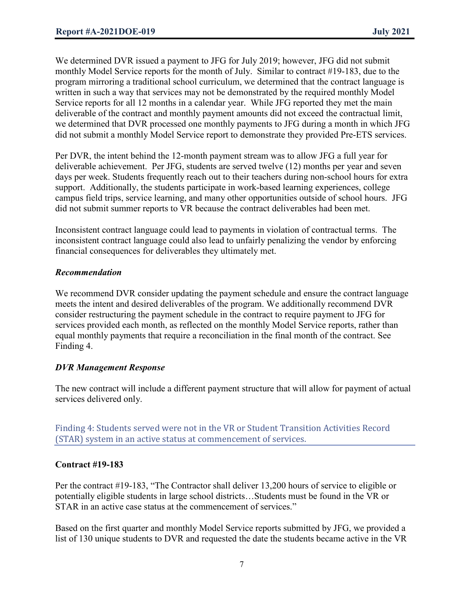We determined DVR issued a payment to JFG for July 2019; however, JFG did not submit monthly Model Service reports for the month of July. Similar to contract #19-183, due to the program mirroring a traditional school curriculum, we determined that the contract language is written in such a way that services may not be demonstrated by the required monthly Model Service reports for all 12 months in a calendar year. While JFG reported they met the main deliverable of the contract and monthly payment amounts did not exceed the contractual limit, we determined that DVR processed one monthly payments to JFG during a month in which JFG did not submit a monthly Model Service report to demonstrate they provided Pre-ETS services.

Per DVR, the intent behind the 12-month payment stream was to allow JFG a full year for deliverable achievement. Per JFG, students are served twelve (12) months per year and seven days per week. Students frequently reach out to their teachers during non-school hours for extra support. Additionally, the students participate in work-based learning experiences, college campus field trips, service learning, and many other opportunities outside of school hours. JFG did not submit summer reports to VR because the contract deliverables had been met.

Inconsistent contract language could lead to payments in violation of contractual terms. The inconsistent contract language could also lead to unfairly penalizing the vendor by enforcing financial consequences for deliverables they ultimately met.

# *Recommendation*

We recommend DVR consider updating the payment schedule and ensure the contract language meets the intent and desired deliverables of the program. We additionally recommend DVR consider restructuring the payment schedule in the contract to require payment to JFG for services provided each month, as reflected on the monthly Model Service reports, rather than equal monthly payments that require a reconciliation in the final month of the contract. See Finding 4.

# *DVR Management Response*

The new contract will include a different payment structure that will allow for payment of actual services delivered only.

Finding 4: Students served were not in the VR or Student Transition Activities Record (STAR) system in an active status at commencement of services.

# **Contract #19-183**

Per the contract #19-183, "The Contractor shall deliver 13,200 hours of service to eligible or potentially eligible students in large school districts…Students must be found in the VR or STAR in an active case status at the commencement of services."

Based on the first quarter and monthly Model Service reports submitted by JFG, we provided a list of 130 unique students to DVR and requested the date the students became active in the VR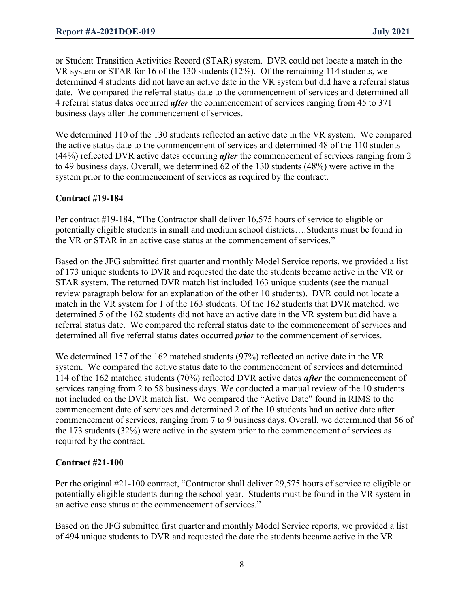or Student Transition Activities Record (STAR) system. DVR could not locate a match in the VR system or STAR for 16 of the 130 students (12%). Of the remaining 114 students, we determined 4 students did not have an active date in the VR system but did have a referral status date. We compared the referral status date to the commencement of services and determined all 4 referral status dates occurred *after* the commencement of services ranging from 45 to 371 business days after the commencement of services.

We determined 110 of the 130 students reflected an active date in the VR system. We compared the active status date to the commencement of services and determined 48 of the 110 students (44%) reflected DVR active dates occurring *after* the commencement of services ranging from 2 to 49 business days. Overall, we determined 62 of the 130 students (48%) were active in the system prior to the commencement of services as required by the contract.

# **Contract #19-184**

Per contract #19-184, "The Contractor shall deliver 16,575 hours of service to eligible or potentially eligible students in small and medium school districts….Students must be found in the VR or STAR in an active case status at the commencement of services."

Based on the JFG submitted first quarter and monthly Model Service reports, we provided a list of 173 unique students to DVR and requested the date the students became active in the VR or STAR system. The returned DVR match list included 163 unique students (see the manual review paragraph below for an explanation of the other 10 students). DVR could not locate a match in the VR system for 1 of the 163 students. Of the 162 students that DVR matched, we determined 5 of the 162 students did not have an active date in the VR system but did have a referral status date. We compared the referral status date to the commencement of services and determined all five referral status dates occurred *prior* to the commencement of services.

We determined 157 of the 162 matched students (97%) reflected an active date in the VR system. We compared the active status date to the commencement of services and determined 114 of the 162 matched students (70%) reflected DVR active dates *after* the commencement of services ranging from 2 to 58 business days. We conducted a manual review of the 10 students not included on the DVR match list. We compared the "Active Date" found in RIMS to the commencement date of services and determined 2 of the 10 students had an active date after commencement of services, ranging from 7 to 9 business days. Overall, we determined that 56 of the 173 students (32%) were active in the system prior to the commencement of services as required by the contract.

# **Contract #21-100**

Per the original #21-100 contract, "Contractor shall deliver 29,575 hours of service to eligible or potentially eligible students during the school year. Students must be found in the VR system in an active case status at the commencement of services."

Based on the JFG submitted first quarter and monthly Model Service reports, we provided a list of 494 unique students to DVR and requested the date the students became active in the VR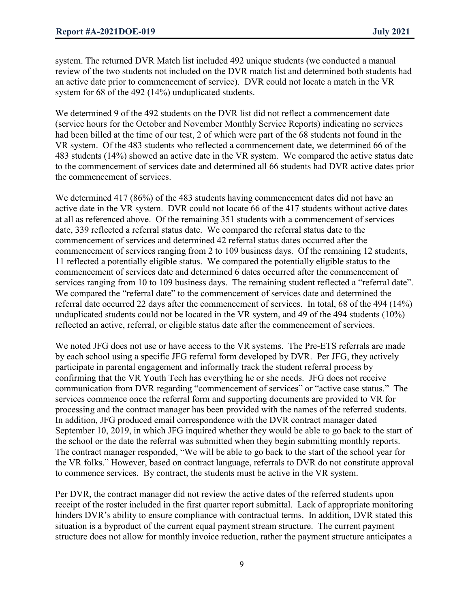system. The returned DVR Match list included 492 unique students (we conducted a manual review of the two students not included on the DVR match list and determined both students had an active date prior to commencement of service). DVR could not locate a match in the VR system for 68 of the 492 (14%) unduplicated students.

We determined 9 of the 492 students on the DVR list did not reflect a commencement date (service hours for the October and November Monthly Service Reports) indicating no services had been billed at the time of our test, 2 of which were part of the 68 students not found in the VR system. Of the 483 students who reflected a commencement date, we determined 66 of the 483 students (14%) showed an active date in the VR system. We compared the active status date to the commencement of services date and determined all 66 students had DVR active dates prior the commencement of services.

We determined 417 (86%) of the 483 students having commencement dates did not have an active date in the VR system. DVR could not locate 66 of the 417 students without active dates at all as referenced above. Of the remaining 351 students with a commencement of services date, 339 reflected a referral status date. We compared the referral status date to the commencement of services and determined 42 referral status dates occurred after the commencement of services ranging from 2 to 109 business days. Of the remaining 12 students, 11 reflected a potentially eligible status. We compared the potentially eligible status to the commencement of services date and determined 6 dates occurred after the commencement of services ranging from 10 to 109 business days. The remaining student reflected a "referral date". We compared the "referral date" to the commencement of services date and determined the referral date occurred 22 days after the commencement of services. In total, 68 of the 494 (14%) unduplicated students could not be located in the VR system, and 49 of the 494 students (10%) reflected an active, referral, or eligible status date after the commencement of services.

We noted JFG does not use or have access to the VR systems. The Pre-ETS referrals are made by each school using a specific JFG referral form developed by DVR. Per JFG, they actively participate in parental engagement and informally track the student referral process by confirming that the VR Youth Tech has everything he or she needs. JFG does not receive communication from DVR regarding "commencement of services" or "active case status." The services commence once the referral form and supporting documents are provided to VR for processing and the contract manager has been provided with the names of the referred students. In addition, JFG produced email correspondence with the DVR contract manager dated September 10, 2019, in which JFG inquired whether they would be able to go back to the start of the school or the date the referral was submitted when they begin submitting monthly reports. The contract manager responded, "We will be able to go back to the start of the school year for the VR folks." However, based on contract language, referrals to DVR do not constitute approval to commence services. By contract, the students must be active in the VR system.

Per DVR, the contract manager did not review the active dates of the referred students upon receipt of the roster included in the first quarter report submittal. Lack of appropriate monitoring hinders DVR's ability to ensure compliance with contractual terms. In addition, DVR stated this situation is a byproduct of the current equal payment stream structure. The current payment structure does not allow for monthly invoice reduction, rather the payment structure anticipates a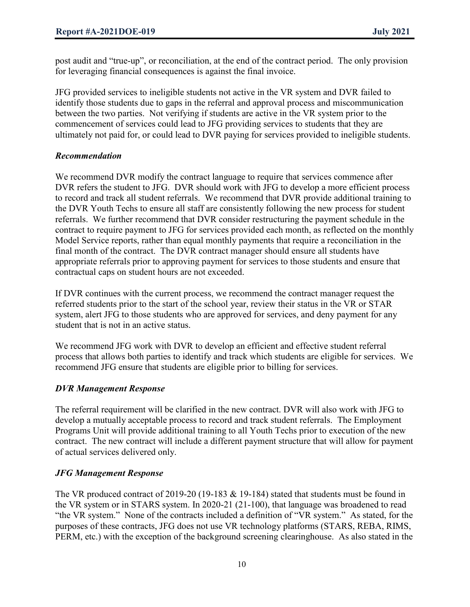post audit and "true-up", or reconciliation, at the end of the contract period. The only provision for leveraging financial consequences is against the final invoice.

JFG provided services to ineligible students not active in the VR system and DVR failed to identify those students due to gaps in the referral and approval process and miscommunication between the two parties. Not verifying if students are active in the VR system prior to the commencement of services could lead to JFG providing services to students that they are ultimately not paid for, or could lead to DVR paying for services provided to ineligible students.

# *Recommendation*

We recommend DVR modify the contract language to require that services commence after DVR refers the student to JFG. DVR should work with JFG to develop a more efficient process to record and track all student referrals. We recommend that DVR provide additional training to the DVR Youth Techs to ensure all staff are consistently following the new process for student referrals. We further recommend that DVR consider restructuring the payment schedule in the contract to require payment to JFG for services provided each month, as reflected on the monthly Model Service reports, rather than equal monthly payments that require a reconciliation in the final month of the contract. The DVR contract manager should ensure all students have appropriate referrals prior to approving payment for services to those students and ensure that contractual caps on student hours are not exceeded.

If DVR continues with the current process, we recommend the contract manager request the referred students prior to the start of the school year, review their status in the VR or STAR system, alert JFG to those students who are approved for services, and deny payment for any student that is not in an active status.

We recommend JFG work with DVR to develop an efficient and effective student referral process that allows both parties to identify and track which students are eligible for services. We recommend JFG ensure that students are eligible prior to billing for services.

# *DVR Management Response*

The referral requirement will be clarified in the new contract. DVR will also work with JFG to develop a mutually acceptable process to record and track student referrals. The Employment Programs Unit will provide additional training to all Youth Techs prior to execution of the new contract. The new contract will include a different payment structure that will allow for payment of actual services delivered only.

# *JFG Management Response*

The VR produced contract of 2019-20 (19-183 & 19-184) stated that students must be found in the VR system or in STARS system. In 2020-21 (21-100), that language was broadened to read "the VR system." None of the contracts included a definition of "VR system." As stated, for the purposes of these contracts, JFG does not use VR technology platforms (STARS, REBA, RIMS, PERM, etc.) with the exception of the background screening clearinghouse. As also stated in the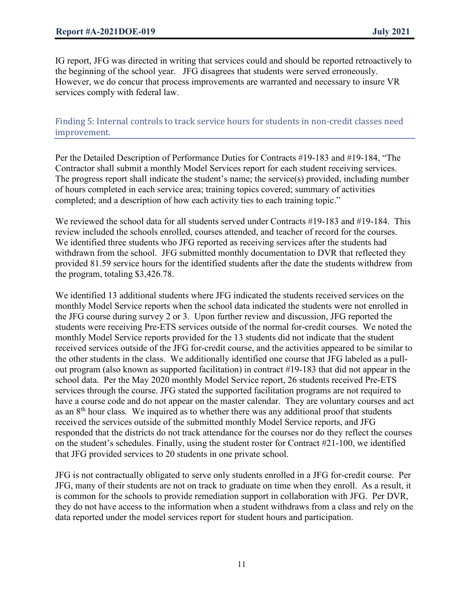IG report, JFG was directed in writing that services could and should be reported retroactively to the beginning of the school year. JFG disagrees that students were served erroneously. However, we do concur that process improvements are warranted and necessary to insure VR services comply with federal law.

# Finding 5: Internal controls to track service hours for students in non-credit classes need improvement.

Per the Detailed Description of Performance Duties for Contracts #19-183 and #19-184, "The Contractor shall submit a monthly Model Services report for each student receiving services. The progress report shall indicate the student's name; the service(s) provided, including number of hours completed in each service area; training topics covered; summary of activities completed; and a description of how each activity ties to each training topic."

We reviewed the school data for all students served under Contracts #19-183 and #19-184. This review included the schools enrolled, courses attended, and teacher of record for the courses. We identified three students who JFG reported as receiving services after the students had withdrawn from the school. JFG submitted monthly documentation to DVR that reflected they provided 81.59 service hours for the identified students after the date the students withdrew from the program, totaling \$3,426.78.

We identified 13 additional students where JFG indicated the students received services on the monthly Model Service reports when the school data indicated the students were not enrolled in the JFG course during survey 2 or 3. Upon further review and discussion, JFG reported the students were receiving Pre-ETS services outside of the normal for-credit courses. We noted the monthly Model Service reports provided for the 13 students did not indicate that the student received services outside of the JFG for-credit course, and the activities appeared to be similar to the other students in the class. We additionally identified one course that JFG labeled as a pullout program (also known as supported facilitation) in contract #19-183 that did not appear in the school data. Per the May 2020 monthly Model Service report, 26 students received Pre-ETS services through the course. JFG stated the supported facilitation programs are not required to have a course code and do not appear on the master calendar. They are voluntary courses and act as an 8<sup>th</sup> hour class. We inquired as to whether there was any additional proof that students received the services outside of the submitted monthly Model Service reports, and JFG responded that the districts do not track attendance for the courses nor do they reflect the courses on the student's schedules. Finally, using the student roster for Contract #21-100, we identified that JFG provided services to 20 students in one private school.

JFG is not contractually obligated to serve only students enrolled in a JFG for-credit course. Per JFG, many of their students are not on track to graduate on time when they enroll. As a result, it is common for the schools to provide remediation support in collaboration with JFG. Per DVR, they do not have access to the information when a student withdraws from a class and rely on the data reported under the model services report for student hours and participation.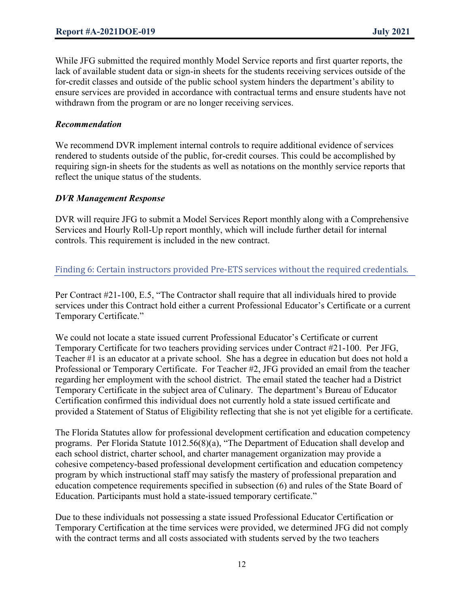While JFG submitted the required monthly Model Service reports and first quarter reports, the lack of available student data or sign-in sheets for the students receiving services outside of the for-credit classes and outside of the public school system hinders the department's ability to ensure services are provided in accordance with contractual terms and ensure students have not withdrawn from the program or are no longer receiving services.

#### *Recommendation*

We recommend DVR implement internal controls to require additional evidence of services rendered to students outside of the public, for-credit courses. This could be accomplished by requiring sign-in sheets for the students as well as notations on the monthly service reports that reflect the unique status of the students.

#### *DVR Management Response*

DVR will require JFG to submit a Model Services Report monthly along with a Comprehensive Services and Hourly Roll-Up report monthly, which will include further detail for internal controls. This requirement is included in the new contract.

# Finding 6: Certain instructors provided Pre-ETS services without the required credentials.

Per Contract #21-100, E.5, "The Contractor shall require that all individuals hired to provide services under this Contract hold either a current Professional Educator's Certificate or a current Temporary Certificate."

We could not locate a state issued current Professional Educator's Certificate or current Temporary Certificate for two teachers providing services under Contract #21-100. Per JFG, Teacher #1 is an educator at a private school. She has a degree in education but does not hold a Professional or Temporary Certificate. For Teacher #2, JFG provided an email from the teacher regarding her employment with the school district. The email stated the teacher had a District Temporary Certificate in the subject area of Culinary. The department's Bureau of Educator Certification confirmed this individual does not currently hold a state issued certificate and provided a Statement of Status of Eligibility reflecting that she is not yet eligible for a certificate.

The Florida Statutes allow for professional development certification and education competency programs. Per Florida Statute 1012.56(8)(a), "The Department of Education shall develop and each school district, charter school, and charter management organization may provide a cohesive competency-based professional development certification and education competency program by which instructional staff may satisfy the mastery of professional preparation and education competence requirements specified in subsection (6) and rules of the State Board of Education. Participants must hold a state-issued temporary certificate."

Due to these individuals not possessing a state issued Professional Educator Certification or Temporary Certification at the time services were provided, we determined JFG did not comply with the contract terms and all costs associated with students served by the two teachers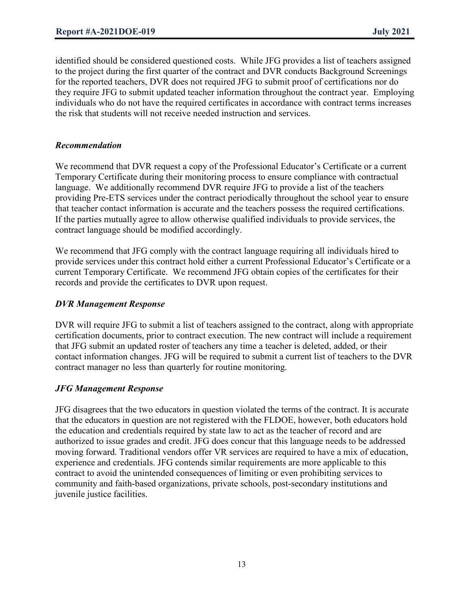identified should be considered questioned costs. While JFG provides a list of teachers assigned to the project during the first quarter of the contract and DVR conducts Background Screenings for the reported teachers, DVR does not required JFG to submit proof of certifications nor do they require JFG to submit updated teacher information throughout the contract year. Employing individuals who do not have the required certificates in accordance with contract terms increases the risk that students will not receive needed instruction and services.

#### *Recommendation*

We recommend that DVR request a copy of the Professional Educator's Certificate or a current Temporary Certificate during their monitoring process to ensure compliance with contractual language. We additionally recommend DVR require JFG to provide a list of the teachers providing Pre-ETS services under the contract periodically throughout the school year to ensure that teacher contact information is accurate and the teachers possess the required certifications. If the parties mutually agree to allow otherwise qualified individuals to provide services, the contract language should be modified accordingly.

We recommend that JFG comply with the contract language requiring all individuals hired to provide services under this contract hold either a current Professional Educator's Certificate or a current Temporary Certificate. We recommend JFG obtain copies of the certificates for their records and provide the certificates to DVR upon request.

#### *DVR Management Response*

DVR will require JFG to submit a list of teachers assigned to the contract, along with appropriate certification documents, prior to contract execution. The new contract will include a requirement that JFG submit an updated roster of teachers any time a teacher is deleted, added, or their contact information changes. JFG will be required to submit a current list of teachers to the DVR contract manager no less than quarterly for routine monitoring.

# *JFG Management Response*

JFG disagrees that the two educators in question violated the terms of the contract. It is accurate that the educators in question are not registered with the FLDOE, however, both educators hold the education and credentials required by state law to act as the teacher of record and are authorized to issue grades and credit. JFG does concur that this language needs to be addressed moving forward. Traditional vendors offer VR services are required to have a mix of education, experience and credentials. JFG contends similar requirements are more applicable to this contract to avoid the unintended consequences of limiting or even prohibiting services to community and faith-based organizations, private schools, post-secondary institutions and juvenile justice facilities.